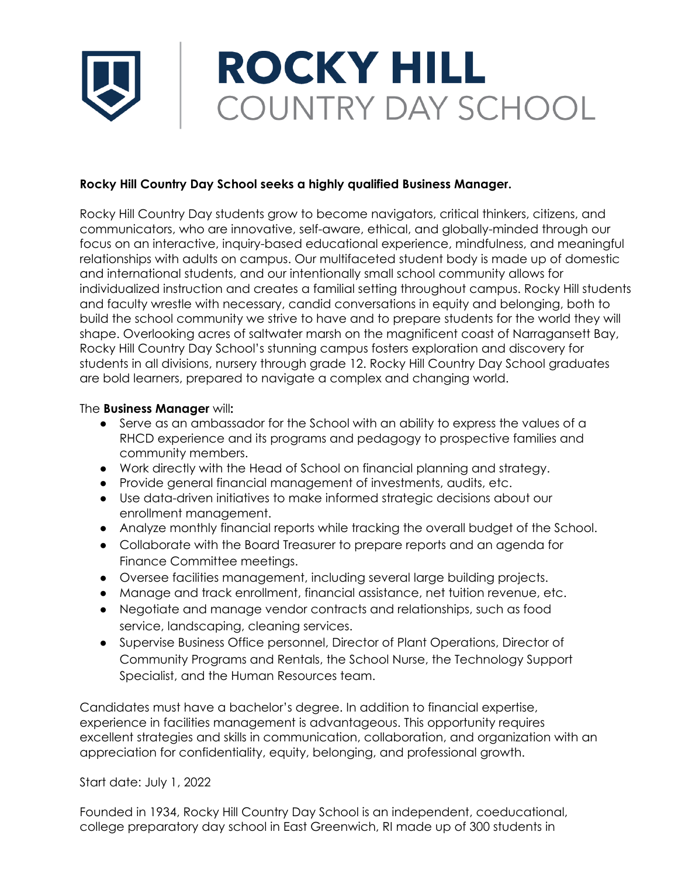## **ROCKY HILL** COUNTRY DAY SCHOOL

## **Rocky Hill Country Day School seeks a highly qualified Business Manager.**

Rocky Hill Country Day students grow to become navigators, critical thinkers, citizens, and communicators, who are innovative, self-aware, ethical, and globally-minded through our focus on an interactive, inquiry-based educational experience, mindfulness, and meaningful relationships with adults on campus. Our multifaceted student body is made up of domestic and international students, and our intentionally small school community allows for individualized instruction and creates a familial setting throughout campus. Rocky Hill students and faculty wrestle with necessary, candid conversations in equity and belonging, both to build the school community we strive to have and to prepare students for the world they will shape. Overlooking acres of saltwater marsh on the magnificent coast of Narragansett Bay, Rocky Hill Country Day School's stunning campus fosters exploration and discovery for students in all divisions, nursery through grade 12. Rocky Hill Country Day School graduates are bold learners, prepared to navigate a complex and changing world.

## The **Business Manager** will**:**

- Serve as an ambassador for the School with an ability to express the values of a RHCD experience and its programs and pedagogy to prospective families and community members.
- Work directly with the Head of School on financial planning and strategy.
- Provide general financial management of investments, audits, etc.
- Use data-driven initiatives to make informed strategic decisions about our enrollment management.
- Analyze monthly financial reports while tracking the overall budget of the School.
- Collaborate with the Board Treasurer to prepare reports and an agenda for Finance Committee meetings.
- Oversee facilities management, including several large building projects.
- Manage and track enrollment, financial assistance, net tuition revenue, etc.
- Negotiate and manage vendor contracts and relationships, such as food service, landscaping, cleaning services.
- Supervise Business Office personnel, Director of Plant Operations, Director of Community Programs and Rentals, the School Nurse, the Technology Support Specialist, and the Human Resources team.

Candidates must have a bachelor's degree. In addition to financial expertise, experience in facilities management is advantageous. This opportunity requires excellent strategies and skills in communication, collaboration, and organization with an appreciation for confidentiality, equity, belonging, and professional growth.

Start date: July 1, 2022

Founded in 1934, Rocky Hill Country Day School is an independent, coeducational, college preparatory day school in East Greenwich, RI made up of 300 students in